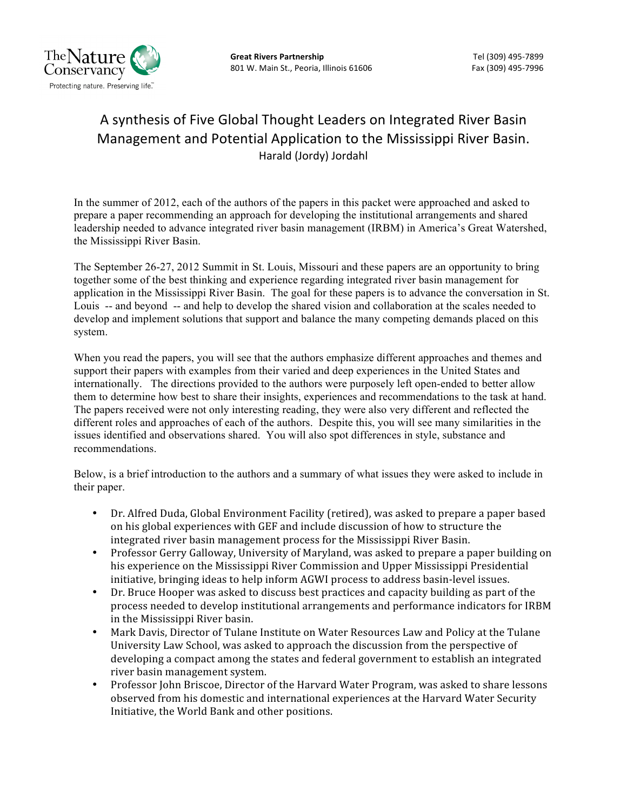

# A synthesis of Five Global Thought Leaders on Integrated River Basin Management and Potential Application to the Mississippi River Basin. Harald (Jordy) Jordahl

In the summer of 2012, each of the authors of the papers in this packet were approached and asked to prepare a paper recommending an approach for developing the institutional arrangements and shared leadership needed to advance integrated river basin management (IRBM) in America's Great Watershed, the Mississippi River Basin.

The September 26-27, 2012 Summit in St. Louis, Missouri and these papers are an opportunity to bring together some of the best thinking and experience regarding integrated river basin management for application in the Mississippi River Basin. The goal for these papers is to advance the conversation in St. Louis -- and beyond -- and help to develop the shared vision and collaboration at the scales needed to develop and implement solutions that support and balance the many competing demands placed on this system.

When you read the papers, you will see that the authors emphasize different approaches and themes and support their papers with examples from their varied and deep experiences in the United States and internationally. The directions provided to the authors were purposely left open-ended to better allow them to determine how best to share their insights, experiences and recommendations to the task at hand. The papers received were not only interesting reading, they were also very different and reflected the different roles and approaches of each of the authors. Despite this, you will see many similarities in the issues identified and observations shared. You will also spot differences in style, substance and recommendations.

Below, is a brief introduction to the authors and a summary of what issues they were asked to include in their paper.

- Dr. Alfred Duda, Global Environment Facility (retired), was asked to prepare a paper based on his global experiences with GEF and include discussion of how to structure the integrated river basin management process for the Mississippi River Basin.
- Professor Gerry Galloway, University of Maryland, was asked to prepare a paper building on his experience on the Mississippi River Commission and Upper Mississippi Presidential initiative, bringing ideas to help inform AGWI process to address basin‐level issues.
- Dr. Bruce Hooper was asked to discuss best practices and capacity building as part of the process needed to develop institutional arrangements and performance indicators for IRBM in the Mississippi River basin.
- Mark Davis, Director of Tulane Institute on Water Resources Law and Policy at the Tulane University Law School, was asked to approach the discussion from the perspective of developing a compact among the states and federal government to establish an integrated river basin management system.
- Professor John Briscoe, Director of the Harvard Water Program, was asked to share lessons observed from his domestic and international experiences at the Harvard Water Security Initiative, the World Bank and other positions.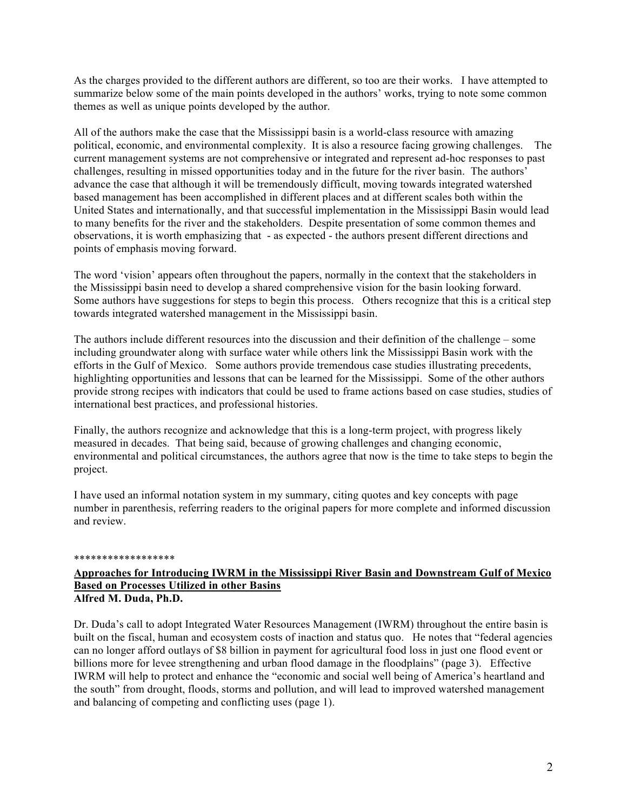As the charges provided to the different authors are different, so too are their works. I have attempted to summarize below some of the main points developed in the authors' works, trying to note some common themes as well as unique points developed by the author.

All of the authors make the case that the Mississippi basin is a world-class resource with amazing political, economic, and environmental complexity. It is also a resource facing growing challenges. The current management systems are not comprehensive or integrated and represent ad-hoc responses to past challenges, resulting in missed opportunities today and in the future for the river basin. The authors' advance the case that although it will be tremendously difficult, moving towards integrated watershed based management has been accomplished in different places and at different scales both within the United States and internationally, and that successful implementation in the Mississippi Basin would lead to many benefits for the river and the stakeholders. Despite presentation of some common themes and observations, it is worth emphasizing that - as expected - the authors present different directions and points of emphasis moving forward.

The word 'vision' appears often throughout the papers, normally in the context that the stakeholders in the Mississippi basin need to develop a shared comprehensive vision for the basin looking forward. Some authors have suggestions for steps to begin this process. Others recognize that this is a critical step towards integrated watershed management in the Mississippi basin.

The authors include different resources into the discussion and their definition of the challenge – some including groundwater along with surface water while others link the Mississippi Basin work with the efforts in the Gulf of Mexico. Some authors provide tremendous case studies illustrating precedents, highlighting opportunities and lessons that can be learned for the Mississippi. Some of the other authors provide strong recipes with indicators that could be used to frame actions based on case studies, studies of international best practices, and professional histories.

Finally, the authors recognize and acknowledge that this is a long-term project, with progress likely measured in decades. That being said, because of growing challenges and changing economic, environmental and political circumstances, the authors agree that now is the time to take steps to begin the project.

I have used an informal notation system in my summary, citing quotes and key concepts with page number in parenthesis, referring readers to the original papers for more complete and informed discussion and review.

#### \*\*\*\*\*\*\*\*\*\*\*\*\*\*\*\*\*\*

#### **Approaches for Introducing IWRM in the Mississippi River Basin and Downstream Gulf of Mexico Based on Processes Utilized in other Basins Alfred M. Duda, Ph.D.**

Dr. Duda's call to adopt Integrated Water Resources Management (IWRM) throughout the entire basin is built on the fiscal, human and ecosystem costs of inaction and status quo. He notes that "federal agencies can no longer afford outlays of \$8 billion in payment for agricultural food loss in just one flood event or billions more for levee strengthening and urban flood damage in the floodplains" (page 3). Effective IWRM will help to protect and enhance the "economic and social well being of America's heartland and the south" from drought, floods, storms and pollution, and will lead to improved watershed management and balancing of competing and conflicting uses (page 1).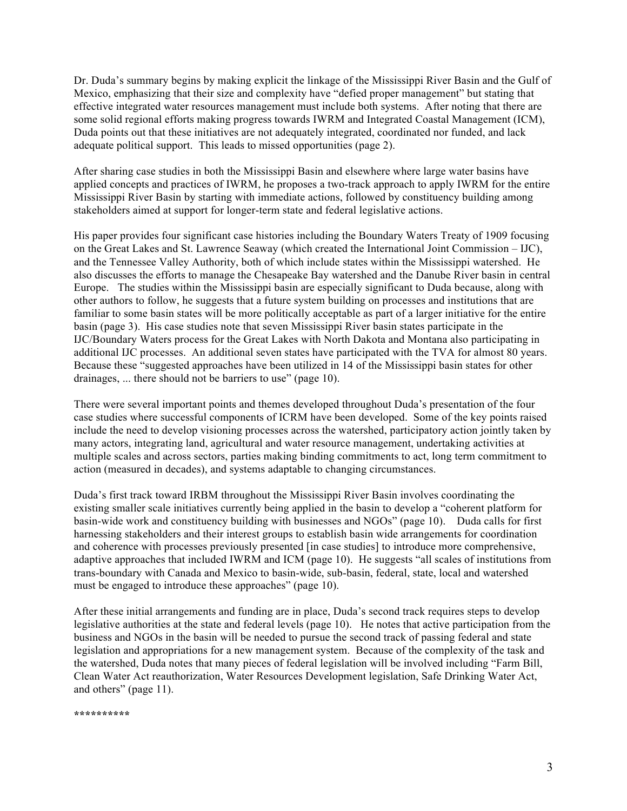Dr. Duda's summary begins by making explicit the linkage of the Mississippi River Basin and the Gulf of Mexico, emphasizing that their size and complexity have "defied proper management" but stating that effective integrated water resources management must include both systems. After noting that there are some solid regional efforts making progress towards IWRM and Integrated Coastal Management (ICM), Duda points out that these initiatives are not adequately integrated, coordinated nor funded, and lack adequate political support. This leads to missed opportunities (page 2).

After sharing case studies in both the Mississippi Basin and elsewhere where large water basins have applied concepts and practices of IWRM, he proposes a two-track approach to apply IWRM for the entire Mississippi River Basin by starting with immediate actions, followed by constituency building among stakeholders aimed at support for longer-term state and federal legislative actions.

His paper provides four significant case histories including the Boundary Waters Treaty of 1909 focusing on the Great Lakes and St. Lawrence Seaway (which created the International Joint Commission – IJC), and the Tennessee Valley Authority, both of which include states within the Mississippi watershed. He also discusses the efforts to manage the Chesapeake Bay watershed and the Danube River basin in central Europe. The studies within the Mississippi basin are especially significant to Duda because, along with other authors to follow, he suggests that a future system building on processes and institutions that are familiar to some basin states will be more politically acceptable as part of a larger initiative for the entire basin (page 3). His case studies note that seven Mississippi River basin states participate in the IJC/Boundary Waters process for the Great Lakes with North Dakota and Montana also participating in additional IJC processes. An additional seven states have participated with the TVA for almost 80 years. Because these "suggested approaches have been utilized in 14 of the Mississippi basin states for other drainages, ... there should not be barriers to use" (page 10).

There were several important points and themes developed throughout Duda's presentation of the four case studies where successful components of ICRM have been developed. Some of the key points raised include the need to develop visioning processes across the watershed, participatory action jointly taken by many actors, integrating land, agricultural and water resource management, undertaking activities at multiple scales and across sectors, parties making binding commitments to act, long term commitment to action (measured in decades), and systems adaptable to changing circumstances.

Duda's first track toward IRBM throughout the Mississippi River Basin involves coordinating the existing smaller scale initiatives currently being applied in the basin to develop a "coherent platform for basin-wide work and constituency building with businesses and NGOs" (page 10). Duda calls for first harnessing stakeholders and their interest groups to establish basin wide arrangements for coordination and coherence with processes previously presented [in case studies] to introduce more comprehensive, adaptive approaches that included IWRM and ICM (page 10). He suggests "all scales of institutions from trans-boundary with Canada and Mexico to basin-wide, sub-basin, federal, state, local and watershed must be engaged to introduce these approaches" (page 10).

After these initial arrangements and funding are in place, Duda's second track requires steps to develop legislative authorities at the state and federal levels (page 10). He notes that active participation from the business and NGOs in the basin will be needed to pursue the second track of passing federal and state legislation and appropriations for a new management system. Because of the complexity of the task and the watershed, Duda notes that many pieces of federal legislation will be involved including "Farm Bill, Clean Water Act reauthorization, Water Resources Development legislation, Safe Drinking Water Act, and others" (page 11).

**\*\*\*\*\*\*\*\*\*\***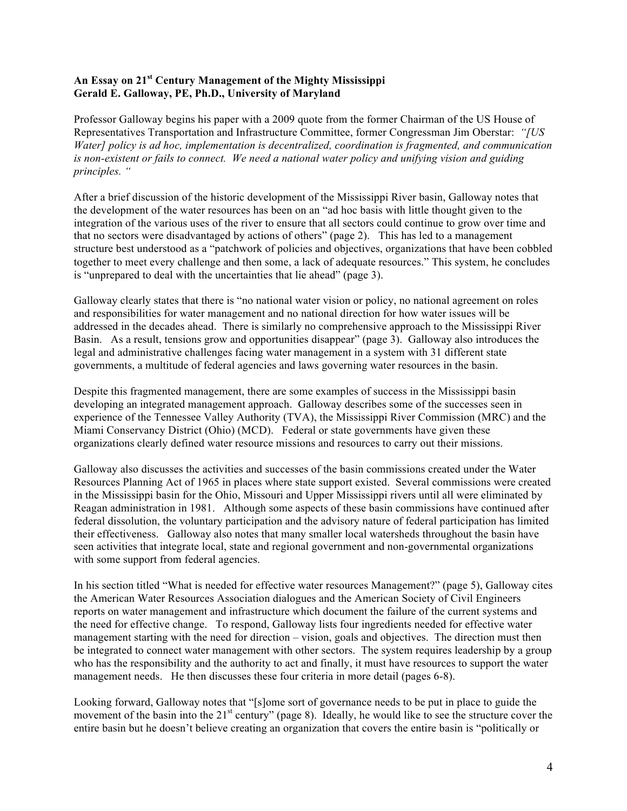### **An Essay on 21st Century Management of the Mighty Mississippi Gerald E. Galloway, PE, Ph.D., University of Maryland**

Professor Galloway begins his paper with a 2009 quote from the former Chairman of the US House of Representatives Transportation and Infrastructure Committee, former Congressman Jim Oberstar: *"[US Water] policy is ad hoc, implementation is decentralized, coordination is fragmented, and communication is non-existent or fails to connect. We need a national water policy and unifying vision and guiding principles. "*

After a brief discussion of the historic development of the Mississippi River basin, Galloway notes that the development of the water resources has been on an "ad hoc basis with little thought given to the integration of the various uses of the river to ensure that all sectors could continue to grow over time and that no sectors were disadvantaged by actions of others" (page 2). This has led to a management structure best understood as a "patchwork of policies and objectives, organizations that have been cobbled together to meet every challenge and then some, a lack of adequate resources." This system, he concludes is "unprepared to deal with the uncertainties that lie ahead" (page 3).

Galloway clearly states that there is "no national water vision or policy, no national agreement on roles and responsibilities for water management and no national direction for how water issues will be addressed in the decades ahead. There is similarly no comprehensive approach to the Mississippi River Basin. As a result, tensions grow and opportunities disappear" (page 3). Galloway also introduces the legal and administrative challenges facing water management in a system with 31 different state governments, a multitude of federal agencies and laws governing water resources in the basin.

Despite this fragmented management, there are some examples of success in the Mississippi basin developing an integrated management approach. Galloway describes some of the successes seen in experience of the Tennessee Valley Authority (TVA), the Mississippi River Commission (MRC) and the Miami Conservancy District (Ohio) (MCD). Federal or state governments have given these organizations clearly defined water resource missions and resources to carry out their missions.

Galloway also discusses the activities and successes of the basin commissions created under the Water Resources Planning Act of 1965 in places where state support existed. Several commissions were created in the Mississippi basin for the Ohio, Missouri and Upper Mississippi rivers until all were eliminated by Reagan administration in 1981. Although some aspects of these basin commissions have continued after federal dissolution, the voluntary participation and the advisory nature of federal participation has limited their effectiveness. Galloway also notes that many smaller local watersheds throughout the basin have seen activities that integrate local, state and regional government and non-governmental organizations with some support from federal agencies.

In his section titled "What is needed for effective water resources Management?" (page 5), Galloway cites the American Water Resources Association dialogues and the American Society of Civil Engineers reports on water management and infrastructure which document the failure of the current systems and the need for effective change. To respond, Galloway lists four ingredients needed for effective water management starting with the need for direction – vision, goals and objectives. The direction must then be integrated to connect water management with other sectors. The system requires leadership by a group who has the responsibility and the authority to act and finally, it must have resources to support the water management needs. He then discusses these four criteria in more detail (pages 6-8).

Looking forward, Galloway notes that "[s]ome sort of governance needs to be put in place to guide the movement of the basin into the  $21<sup>st</sup>$  century" (page 8). Ideally, he would like to see the structure cover the entire basin but he doesn't believe creating an organization that covers the entire basin is "politically or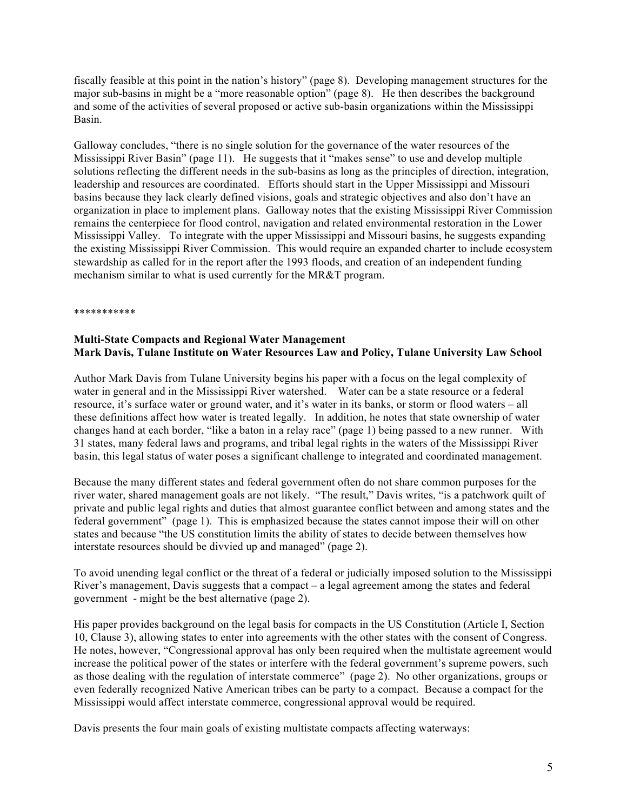fiscally feasible at this point in the nation's history" (page 8). Developing management structures for the major sub-basins in might be a "more reasonable option" (page 8). He then describes the background and some of the activities of several proposed or active sub-basin organizations within the Mississippi Basin.

Galloway concludes, "there is no single solution for the governance of the water resources of the Mississippi River Basin" (page 11). He suggests that it "makes sense" to use and develop multiple solutions reflecting the different needs in the sub-basins as long as the principles of direction, integration, leadership and resources are coordinated. Efforts should start in the Upper Mississippi and Missouri basins because they lack clearly defined visions, goals and strategic objectives and also don't have an organization in place to implement plans. Galloway notes that the existing Mississippi River Commission remains the centerpiece for flood control, navigation and related environmental restoration in the Lower Mississippi Valley. To integrate with the upper Mississippi and Missouri basins, he suggests expanding the existing Mississippi River Commission. This would require an expanded charter to include ecosystem stewardship as called for in the report after the 1993 floods, and creation of an independent funding mechanism similar to what is used currently for the MR&T program.

\*\*\*\*\*\*\*\*\*\*\*

## **Multi-State Compacts and Regional Water Management Mark Davis, Tulane Institute on Water Resources Law and Policy, Tulane University Law School**

Author Mark Davis from Tulane University begins his paper with a focus on the legal complexity of water in general and in the Mississippi River watershed. Water can be a state resource or a federal resource, it's surface water or ground water, and it's water in its banks, or storm or flood waters – all these definitions affect how water is treated legally. In addition, he notes that state ownership of water changes hand at each border, "like a baton in a relay race" (page 1) being passed to a new runner. With 31 states, many federal laws and programs, and tribal legal rights in the waters of the Mississippi River basin, this legal status of water poses a significant challenge to integrated and coordinated management.

Because the many different states and federal government often do not share common purposes for the river water, shared management goals are not likely. "The result," Davis writes, "is a patchwork quilt of private and public legal rights and duties that almost guarantee conflict between and among states and the federal government" (page 1). This is emphasized because the states cannot impose their will on other states and because "the US constitution limits the ability of states to decide between themselves how interstate resources should be divvied up and managed" (page 2).

To avoid unending legal conflict or the threat of a federal or judicially imposed solution to the Mississippi River's management, Davis suggests that a compact – a legal agreement among the states and federal government - might be the best alternative (page 2).

His paper provides background on the legal basis for compacts in the US Constitution (Article I, Section 10, Clause 3), allowing states to enter into agreements with the other states with the consent of Congress. He notes, however, "Congressional approval has only been required when the multistate agreement would increase the political power of the states or interfere with the federal government's supreme powers, such as those dealing with the regulation of interstate commerce" (page 2). No other organizations, groups or even federally recognized Native American tribes can be party to a compact. Because a compact for the Mississippi would affect interstate commerce, congressional approval would be required.

Davis presents the four main goals of existing multistate compacts affecting waterways: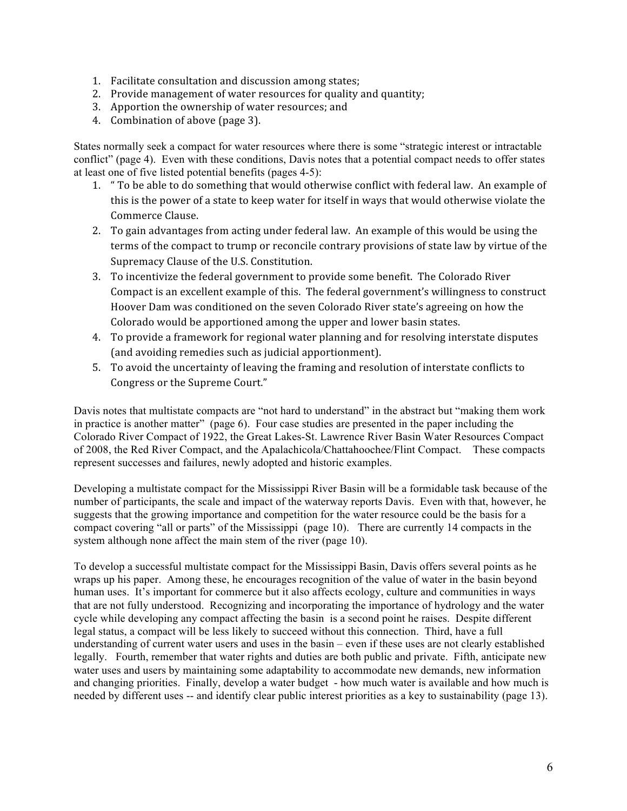- 1. Facilitate consultation and discussion among states;
- 2. Provide management of water resources for quality and quantity;
- 3. Apportion the ownership of water resources; and
- 4. Combination of above (page 3).

States normally seek a compact for water resources where there is some "strategic interest or intractable conflict" (page 4). Even with these conditions, Davis notes that a potential compact needs to offer states at least one of five listed potential benefits (pages 4-5):

- 1. " To be able to do something that would otherwise conflict with federal law. An example of this is the power of a state to keep water for itself in ways that would otherwise violate the Commerce Clause.
- 2. To gain advantages from acting under federal law. An example of this would be using the terms of the compact to trump or reconcile contrary provisions of state law by virtue of the Supremacy Clause of the U.S. Constitution.
- 3. To incentivize the federal government to provide some benefit. The Colorado River Compact is an excellent example of this. The federal government's willingness to construct Hoover Dam was conditioned on the seven Colorado River state's agreeing on how the Colorado would be apportioned among the upper and lower basin states.
- 4. To provide a framework for regional water planning and for resolving interstate disputes (and avoiding remedies such as judicial apportionment).
- 5. To avoid the uncertainty of leaving the framing and resolution of interstate conflicts to Congress or the Supreme Court."

Davis notes that multistate compacts are "not hard to understand" in the abstract but "making them work in practice is another matter" (page 6). Four case studies are presented in the paper including the Colorado River Compact of 1922, the Great Lakes-St. Lawrence River Basin Water Resources Compact of 2008, the Red River Compact, and the Apalachicola/Chattahoochee/Flint Compact. These compacts represent successes and failures, newly adopted and historic examples.

Developing a multistate compact for the Mississippi River Basin will be a formidable task because of the number of participants, the scale and impact of the waterway reports Davis. Even with that, however, he suggests that the growing importance and competition for the water resource could be the basis for a compact covering "all or parts" of the Mississippi (page 10). There are currently 14 compacts in the system although none affect the main stem of the river (page 10).

To develop a successful multistate compact for the Mississippi Basin, Davis offers several points as he wraps up his paper. Among these, he encourages recognition of the value of water in the basin beyond human uses. It's important for commerce but it also affects ecology, culture and communities in ways that are not fully understood. Recognizing and incorporating the importance of hydrology and the water cycle while developing any compact affecting the basin is a second point he raises. Despite different legal status, a compact will be less likely to succeed without this connection. Third, have a full understanding of current water users and uses in the basin – even if these uses are not clearly established legally. Fourth, remember that water rights and duties are both public and private. Fifth, anticipate new water uses and users by maintaining some adaptability to accommodate new demands, new information and changing priorities. Finally, develop a water budget - how much water is available and how much is needed by different uses -- and identify clear public interest priorities as a key to sustainability (page 13).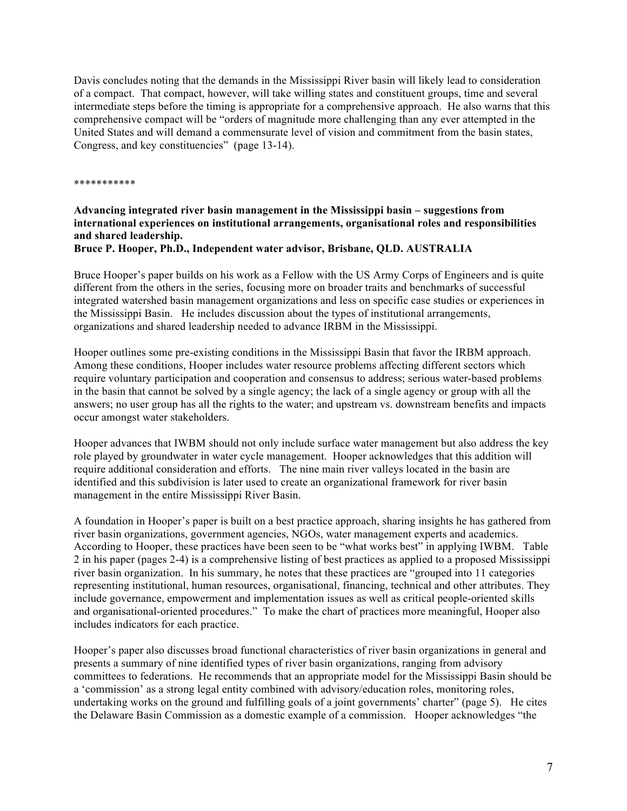Davis concludes noting that the demands in the Mississippi River basin will likely lead to consideration of a compact. That compact, however, will take willing states and constituent groups, time and several intermediate steps before the timing is appropriate for a comprehensive approach. He also warns that this comprehensive compact will be "orders of magnitude more challenging than any ever attempted in the United States and will demand a commensurate level of vision and commitment from the basin states, Congress, and key constituencies" (page 13-14).

\*\*\*\*\*\*\*\*\*\*\*

# **Advancing integrated river basin management in the Mississippi basin – suggestions from international experiences on institutional arrangements, organisational roles and responsibilities and shared leadership.**

### **Bruce P. Hooper, Ph.D., Independent water advisor, Brisbane, QLD. AUSTRALIA**

Bruce Hooper's paper builds on his work as a Fellow with the US Army Corps of Engineers and is quite different from the others in the series, focusing more on broader traits and benchmarks of successful integrated watershed basin management organizations and less on specific case studies or experiences in the Mississippi Basin. He includes discussion about the types of institutional arrangements, organizations and shared leadership needed to advance IRBM in the Mississippi.

Hooper outlines some pre-existing conditions in the Mississippi Basin that favor the IRBM approach. Among these conditions, Hooper includes water resource problems affecting different sectors which require voluntary participation and cooperation and consensus to address; serious water-based problems in the basin that cannot be solved by a single agency; the lack of a single agency or group with all the answers; no user group has all the rights to the water; and upstream vs. downstream benefits and impacts occur amongst water stakeholders.

Hooper advances that IWBM should not only include surface water management but also address the key role played by groundwater in water cycle management. Hooper acknowledges that this addition will require additional consideration and efforts. The nine main river valleys located in the basin are identified and this subdivision is later used to create an organizational framework for river basin management in the entire Mississippi River Basin.

A foundation in Hooper's paper is built on a best practice approach, sharing insights he has gathered from river basin organizations, government agencies, NGOs, water management experts and academics. According to Hooper, these practices have been seen to be "what works best" in applying IWBM. Table 2 in his paper (pages 2-4) is a comprehensive listing of best practices as applied to a proposed Mississippi river basin organization. In his summary, he notes that these practices are "grouped into 11 categories representing institutional, human resources, organisational, financing, technical and other attributes. They include governance, empowerment and implementation issues as well as critical people-oriented skills and organisational-oriented procedures." To make the chart of practices more meaningful, Hooper also includes indicators for each practice.

Hooper's paper also discusses broad functional characteristics of river basin organizations in general and presents a summary of nine identified types of river basin organizations, ranging from advisory committees to federations. He recommends that an appropriate model for the Mississippi Basin should be a 'commission' as a strong legal entity combined with advisory/education roles, monitoring roles, undertaking works on the ground and fulfilling goals of a joint governments' charter" (page 5). He cites the Delaware Basin Commission as a domestic example of a commission. Hooper acknowledges "the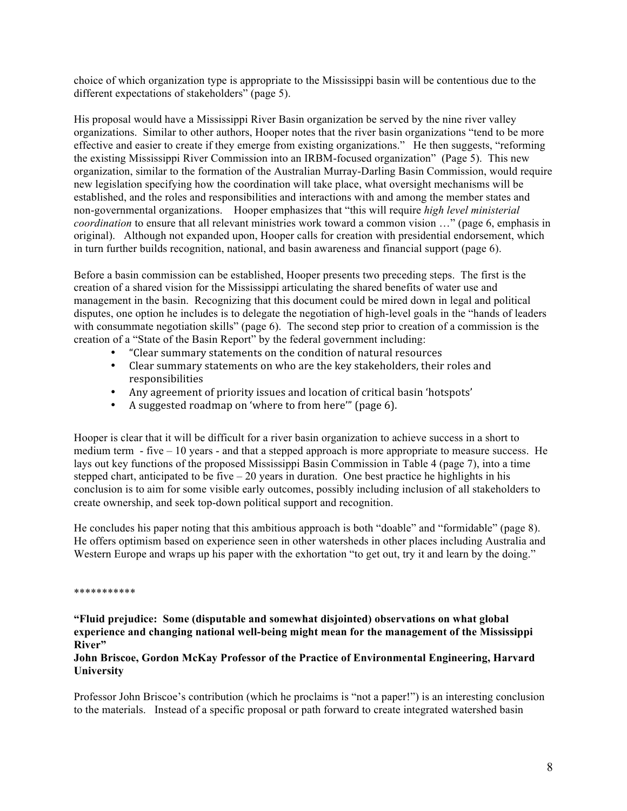choice of which organization type is appropriate to the Mississippi basin will be contentious due to the different expectations of stakeholders" (page 5).

His proposal would have a Mississippi River Basin organization be served by the nine river valley organizations. Similar to other authors, Hooper notes that the river basin organizations "tend to be more effective and easier to create if they emerge from existing organizations." He then suggests, "reforming the existing Mississippi River Commission into an IRBM-focused organization" (Page 5). This new organization, similar to the formation of the Australian Murray-Darling Basin Commission, would require new legislation specifying how the coordination will take place, what oversight mechanisms will be established, and the roles and responsibilities and interactions with and among the member states and non-governmental organizations. Hooper emphasizes that "this will require *high level ministerial coordination* to ensure that all relevant ministries work toward a common vision …" (page 6, emphasis in original). Although not expanded upon, Hooper calls for creation with presidential endorsement, which in turn further builds recognition, national, and basin awareness and financial support (page 6).

Before a basin commission can be established, Hooper presents two preceding steps. The first is the creation of a shared vision for the Mississippi articulating the shared benefits of water use and management in the basin. Recognizing that this document could be mired down in legal and political disputes, one option he includes is to delegate the negotiation of high-level goals in the "hands of leaders with consummate negotiation skills" (page 6). The second step prior to creation of a commission is the creation of a "State of the Basin Report" by the federal government including:

- "Clear summary statements on the condition of natural resources
- Clear summary statements on who are the key stakeholders, their roles and responsibilities
- Any agreement of priority issues and location of critical basin 'hotspots'
- A suggested roadmap on 'where to from here'" (page 6).

Hooper is clear that it will be difficult for a river basin organization to achieve success in a short to medium term - five – 10 years - and that a stepped approach is more appropriate to measure success. He lays out key functions of the proposed Mississippi Basin Commission in Table 4 (page 7), into a time stepped chart, anticipated to be five – 20 years in duration. One best practice he highlights in his conclusion is to aim for some visible early outcomes, possibly including inclusion of all stakeholders to create ownership, and seek top-down political support and recognition.

He concludes his paper noting that this ambitious approach is both "doable" and "formidable" (page 8). He offers optimism based on experience seen in other watersheds in other places including Australia and Western Europe and wraps up his paper with the exhortation "to get out, try it and learn by the doing."

#### \*\*\*\*\*\*\*\*\*\*\*

**"Fluid prejudice: Some (disputable and somewhat disjointed) observations on what global experience and changing national well-being might mean for the management of the Mississippi River"**

### **John Briscoe, Gordon McKay Professor of the Practice of Environmental Engineering, Harvard University**

Professor John Briscoe's contribution (which he proclaims is "not a paper!") is an interesting conclusion to the materials. Instead of a specific proposal or path forward to create integrated watershed basin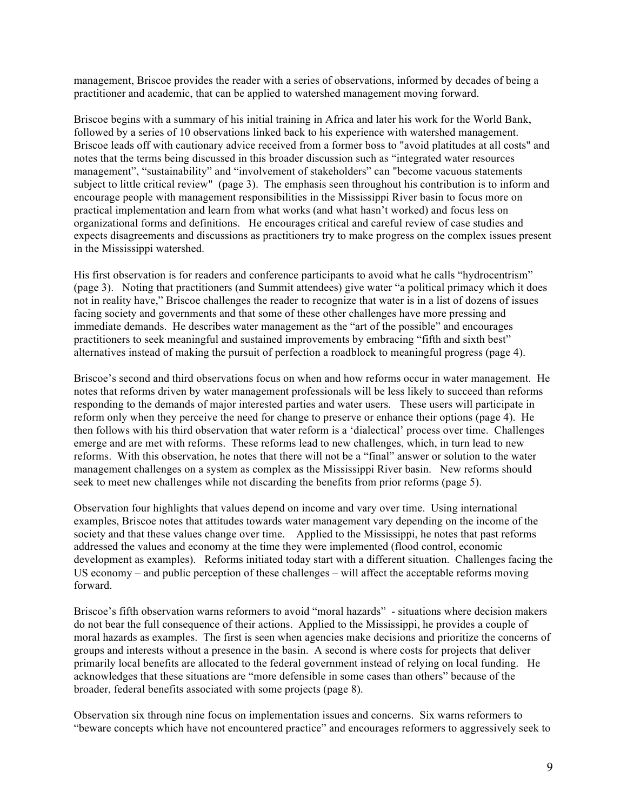management, Briscoe provides the reader with a series of observations, informed by decades of being a practitioner and academic, that can be applied to watershed management moving forward.

Briscoe begins with a summary of his initial training in Africa and later his work for the World Bank, followed by a series of 10 observations linked back to his experience with watershed management. Briscoe leads off with cautionary advice received from a former boss to "avoid platitudes at all costs" and notes that the terms being discussed in this broader discussion such as "integrated water resources management", "sustainability" and "involvement of stakeholders" can "become vacuous statements subject to little critical review" (page 3). The emphasis seen throughout his contribution is to inform and encourage people with management responsibilities in the Mississippi River basin to focus more on practical implementation and learn from what works (and what hasn't worked) and focus less on organizational forms and definitions. He encourages critical and careful review of case studies and expects disagreements and discussions as practitioners try to make progress on the complex issues present in the Mississippi watershed.

His first observation is for readers and conference participants to avoid what he calls "hydrocentrism" (page 3). Noting that practitioners (and Summit attendees) give water "a political primacy which it does not in reality have," Briscoe challenges the reader to recognize that water is in a list of dozens of issues facing society and governments and that some of these other challenges have more pressing and immediate demands. He describes water management as the "art of the possible" and encourages practitioners to seek meaningful and sustained improvements by embracing "fifth and sixth best" alternatives instead of making the pursuit of perfection a roadblock to meaningful progress (page 4).

Briscoe's second and third observations focus on when and how reforms occur in water management. He notes that reforms driven by water management professionals will be less likely to succeed than reforms responding to the demands of major interested parties and water users. These users will participate in reform only when they perceive the need for change to preserve or enhance their options (page 4). He then follows with his third observation that water reform is a 'dialectical' process over time. Challenges emerge and are met with reforms. These reforms lead to new challenges, which, in turn lead to new reforms. With this observation, he notes that there will not be a "final" answer or solution to the water management challenges on a system as complex as the Mississippi River basin. New reforms should seek to meet new challenges while not discarding the benefits from prior reforms (page 5).

Observation four highlights that values depend on income and vary over time. Using international examples, Briscoe notes that attitudes towards water management vary depending on the income of the society and that these values change over time. Applied to the Mississippi, he notes that past reforms addressed the values and economy at the time they were implemented (flood control, economic development as examples). Reforms initiated today start with a different situation. Challenges facing the US economy – and public perception of these challenges – will affect the acceptable reforms moving forward.

Briscoe's fifth observation warns reformers to avoid "moral hazards" - situations where decision makers do not bear the full consequence of their actions. Applied to the Mississippi, he provides a couple of moral hazards as examples. The first is seen when agencies make decisions and prioritize the concerns of groups and interests without a presence in the basin. A second is where costs for projects that deliver primarily local benefits are allocated to the federal government instead of relying on local funding. He acknowledges that these situations are "more defensible in some cases than others" because of the broader, federal benefits associated with some projects (page 8).

Observation six through nine focus on implementation issues and concerns. Six warns reformers to "beware concepts which have not encountered practice" and encourages reformers to aggressively seek to